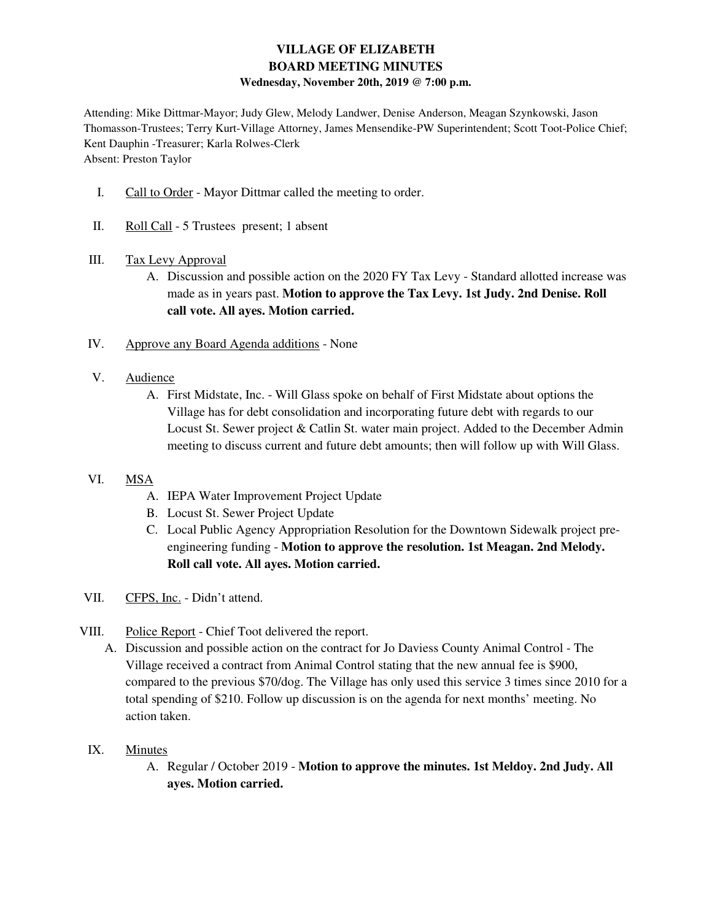## **VILLAGE OF ELIZABETH BOARD MEETING MINUTES Wednesday, November 20th, 2019 @ 7:00 p.m.**

Attending: Mike Dittmar-Mayor; Judy Glew, Melody Landwer, Denise Anderson, Meagan Szynkowski, Jason Thomasson-Trustees; Terry Kurt-Village Attorney, James Mensendike-PW Superintendent; Scott Toot-Police Chief; Kent Dauphin -Treasurer; Karla Rolwes-Clerk Absent: Preston Taylor

- I. Call to Order Mayor Dittmar called the meeting to order.
- II. Roll Call 5 Trustees present; 1 absent

#### III. Tax Levy Approval

- A. Discussion and possible action on the 2020 FY Tax Levy Standard allotted increase was made as in years past. **Motion to approve the Tax Levy. 1st Judy. 2nd Denise. Roll call vote. All ayes. Motion carried.**
- IV. Approve any Board Agenda additions None
- V. Audience
	- A. First Midstate, Inc. Will Glass spoke on behalf of First Midstate about options the Village has for debt consolidation and incorporating future debt with regards to our Locust St. Sewer project & Catlin St. water main project. Added to the December Admin meeting to discuss current and future debt amounts; then will follow up with Will Glass.

## VI. MSA

- A. IEPA Water Improvement Project Update
- B. Locust St. Sewer Project Update
- C. Local Public Agency Appropriation Resolution for the Downtown Sidewalk project preengineering funding - **Motion to approve the resolution. 1st Meagan. 2nd Melody. Roll call vote. All ayes. Motion carried.**
- VII. CFPS, Inc. Didn't attend.
- VIII. Police Report Chief Toot delivered the report.
	- A. Discussion and possible action on the contract for Jo Daviess County Animal Control The Village received a contract from Animal Control stating that the new annual fee is \$900, compared to the previous \$70/dog. The Village has only used this service 3 times since 2010 for a total spending of \$210. Follow up discussion is on the agenda for next months' meeting. No action taken.
	- IX. Minutes
		- A. Regular / October 2019 **Motion to approve the minutes. 1st Meldoy. 2nd Judy. All ayes. Motion carried.**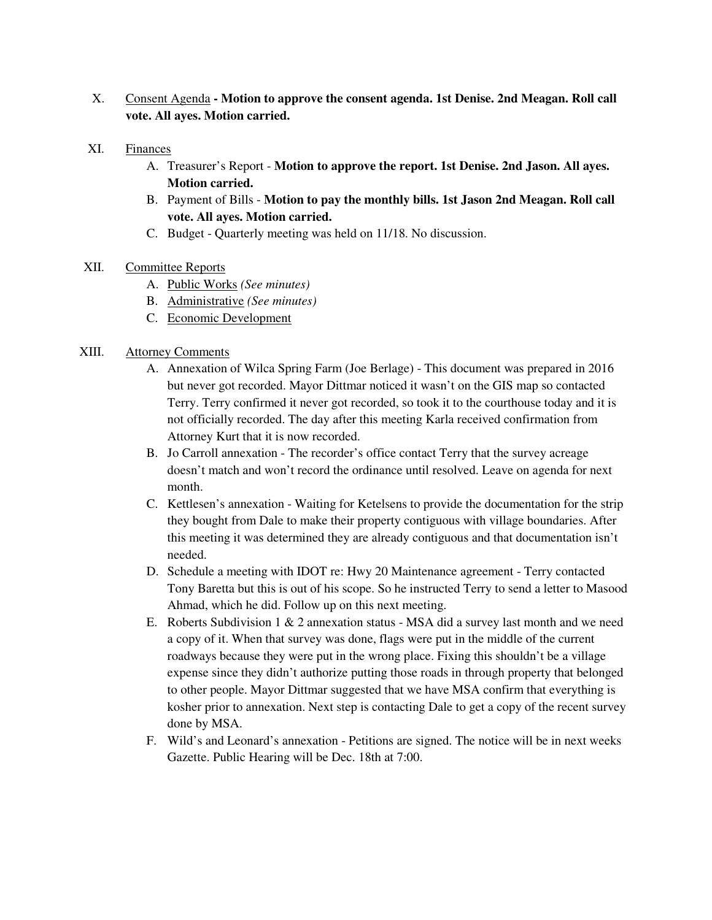- X. Consent Agenda **Motion to approve the consent agenda. 1st Denise. 2nd Meagan. Roll call vote. All ayes. Motion carried.**
- XI. Finances
	- A. Treasurer's Report **Motion to approve the report. 1st Denise. 2nd Jason. All ayes. Motion carried.**
	- B. Payment of Bills - **Motion to pay the monthly bills. 1st Jason 2nd Meagan. Roll call vote. All ayes. Motion carried.**
	- C. Budget Quarterly meeting was held on 11/18. No discussion.
- XII. Committee Reports
	- A. Public Works *(See minutes)*
	- B. Administrative *(See minutes)*
	- C. Economic Development

#### XIII. Attorney Comments

- A. Annexation of Wilca Spring Farm (Joe Berlage) This document was prepared in 2016 but never got recorded. Mayor Dittmar noticed it wasn't on the GIS map so contacted Terry. Terry confirmed it never got recorded, so took it to the courthouse today and it is not officially recorded. The day after this meeting Karla received confirmation from Attorney Kurt that it is now recorded.
- B. Jo Carroll annexation The recorder's office contact Terry that the survey acreage doesn't match and won't record the ordinance until resolved. Leave on agenda for next month.
- C. Kettlesen's annexation Waiting for Ketelsens to provide the documentation for the strip they bought from Dale to make their property contiguous with village boundaries. After this meeting it was determined they are already contiguous and that documentation isn't needed.
- D. Schedule a meeting with IDOT re: Hwy 20 Maintenance agreement Terry contacted Tony Baretta but this is out of his scope. So he instructed Terry to send a letter to Masood Ahmad, which he did. Follow up on this next meeting.
- E. Roberts Subdivision 1 & 2 annexation status MSA did a survey last month and we need a copy of it. When that survey was done, flags were put in the middle of the current roadways because they were put in the wrong place. Fixing this shouldn't be a village expense since they didn't authorize putting those roads in through property that belonged to other people. Mayor Dittmar suggested that we have MSA confirm that everything is kosher prior to annexation. Next step is contacting Dale to get a copy of the recent survey done by MSA.
- F. Wild's and Leonard's annexation Petitions are signed. The notice will be in next weeks Gazette. Public Hearing will be Dec. 18th at 7:00.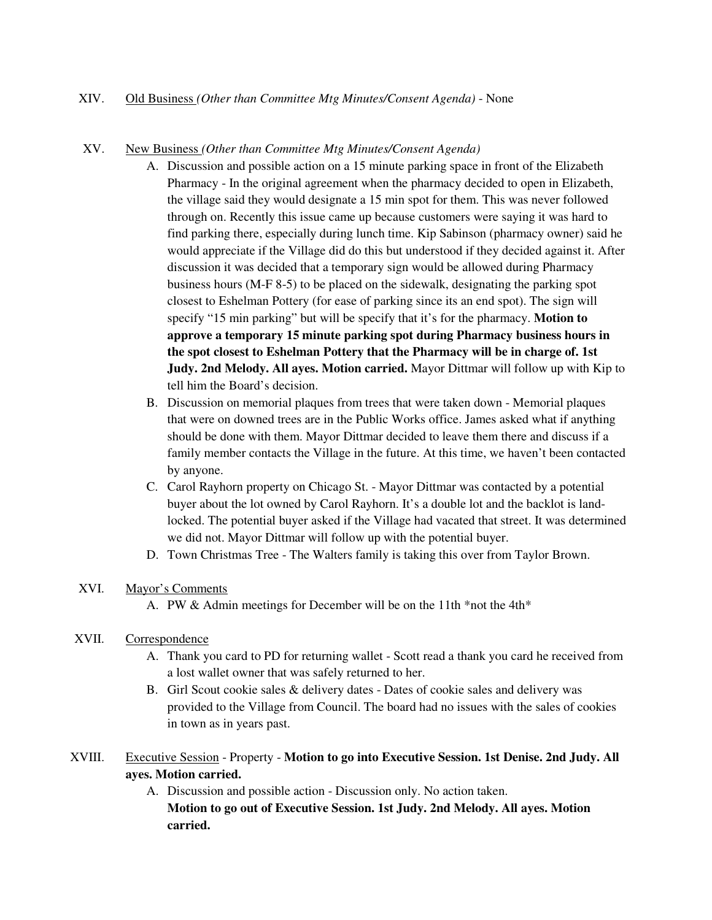#### XV. New Business *(Other than Committee Mtg Minutes/Consent Agenda)*

- A. Discussion and possible action on a 15 minute parking space in front of the Elizabeth Pharmacy - In the original agreement when the pharmacy decided to open in Elizabeth, the village said they would designate a 15 min spot for them. This was never followed through on. Recently this issue came up because customers were saying it was hard to find parking there, especially during lunch time. Kip Sabinson (pharmacy owner) said he would appreciate if the Village did do this but understood if they decided against it. After discussion it was decided that a temporary sign would be allowed during Pharmacy business hours (M-F 8-5) to be placed on the sidewalk, designating the parking spot closest to Eshelman Pottery (for ease of parking since its an end spot). The sign will specify "15 min parking" but will be specify that it's for the pharmacy. **Motion to approve a temporary 15 minute parking spot during Pharmacy business hours in the spot closest to Eshelman Pottery that the Pharmacy will be in charge of. 1st Judy. 2nd Melody. All ayes. Motion carried.** Mayor Dittmar will follow up with Kip to tell him the Board's decision.
- B. Discussion on memorial plaques from trees that were taken down Memorial plaques that were on downed trees are in the Public Works office. James asked what if anything should be done with them. Mayor Dittmar decided to leave them there and discuss if a family member contacts the Village in the future. At this time, we haven't been contacted by anyone.
- C. Carol Rayhorn property on Chicago St. Mayor Dittmar was contacted by a potential buyer about the lot owned by Carol Rayhorn. It's a double lot and the backlot is landlocked. The potential buyer asked if the Village had vacated that street. It was determined we did not. Mayor Dittmar will follow up with the potential buyer.
- D. Town Christmas Tree The Walters family is taking this over from Taylor Brown.

#### XVI. Mayor's Comments

A. PW & Admin meetings for December will be on the 11th \*not the 4th\*

## XVII. Correspondence

- A. Thank you card to PD for returning wallet Scott read a thank you card he received from a lost wallet owner that was safely returned to her.
- B. Girl Scout cookie sales & delivery dates Dates of cookie sales and delivery was provided to the Village from Council. The board had no issues with the sales of cookies in town as in years past.

## XVIII. Executive Session - Property - **Motion to go into Executive Session. 1st Denise. 2nd Judy. All ayes. Motion carried.**

A. Discussion and possible action - Discussion only. No action taken. **Motion to go out of Executive Session. 1st Judy. 2nd Melody. All ayes. Motion carried.**